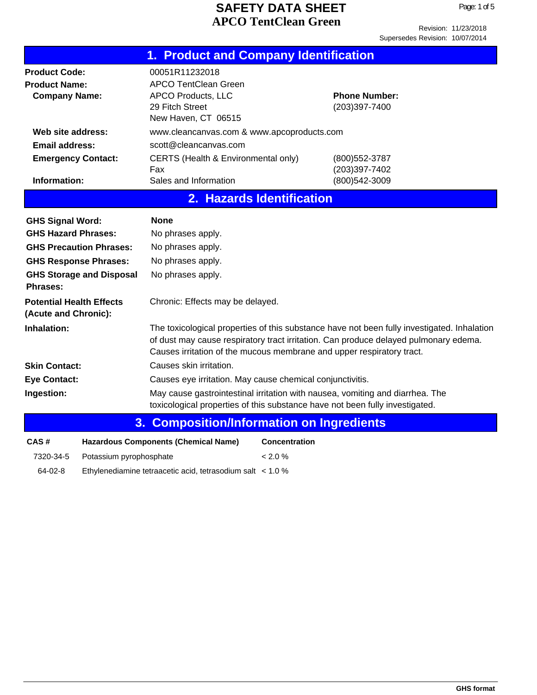|                                                                      | 1. Product and Company Identification                                                                                |                                                                                                                                                                                     |
|----------------------------------------------------------------------|----------------------------------------------------------------------------------------------------------------------|-------------------------------------------------------------------------------------------------------------------------------------------------------------------------------------|
| <b>Product Code:</b><br><b>Product Name:</b><br><b>Company Name:</b> | 00051R11232018<br><b>APCO TentClean Green</b><br><b>APCO Products, LLC</b><br>29 Fitch Street<br>New Haven, CT 06515 | <b>Phone Number:</b><br>(203)397-7400                                                                                                                                               |
| Web site address:<br><b>Email address:</b>                           | www.cleancanvas.com & www.apcoproducts.com<br>scott@cleancanvas.com                                                  |                                                                                                                                                                                     |
| <b>Emergency Contact:</b>                                            | CERTS (Health & Environmental only)<br>Fax                                                                           | (800) 552-3787<br>(203)397-7402                                                                                                                                                     |
| Information:                                                         | Sales and Information<br>2. Hazards Identification                                                                   | (800) 542-3009                                                                                                                                                                      |
|                                                                      |                                                                                                                      |                                                                                                                                                                                     |
| <b>GHS Signal Word:</b>                                              | <b>None</b>                                                                                                          |                                                                                                                                                                                     |
| <b>GHS Hazard Phrases:</b>                                           | No phrases apply.                                                                                                    |                                                                                                                                                                                     |
| <b>GHS Precaution Phrases:</b>                                       | No phrases apply.                                                                                                    |                                                                                                                                                                                     |
| <b>GHS Response Phrases:</b>                                         | No phrases apply.                                                                                                    |                                                                                                                                                                                     |
| <b>GHS Storage and Disposal</b><br>Phrases:                          | No phrases apply.                                                                                                    |                                                                                                                                                                                     |
| <b>Potential Health Effects</b><br>(Acute and Chronic):              | Chronic: Effects may be delayed.                                                                                     |                                                                                                                                                                                     |
| Inhalation:                                                          | Causes irritation of the mucous membrane and upper respiratory tract.                                                | The toxicological properties of this substance have not been fully investigated. Inhalation<br>of dust may cause respiratory tract irritation. Can produce delayed pulmonary edema. |
| <b>Skin Contact:</b>                                                 | Causes skin irritation.                                                                                              |                                                                                                                                                                                     |
| <b>Eye Contact:</b>                                                  | Causes eye irritation. May cause chemical conjunctivitis.                                                            |                                                                                                                                                                                     |
| Ingestion:                                                           |                                                                                                                      | May cause gastrointestinal irritation with nausea, vomiting and diarrhea. The<br>toxicological properties of this substance have not been fully investigated.                       |
| 3.                                                                   | <b>Composition/Information on Ingredients</b>                                                                        |                                                                                                                                                                                     |
| CAS#                                                                 | <b>Hazardous Components (Chemical Name)</b>                                                                          | <b>Concentration</b>                                                                                                                                                                |
| 7320-34-5<br>Potassium pyrophosphate                                 | < 2.0 %                                                                                                              |                                                                                                                                                                                     |

64-02-8 Ethylenediamine tetraacetic acid, tetrasodium salt < 1.0 %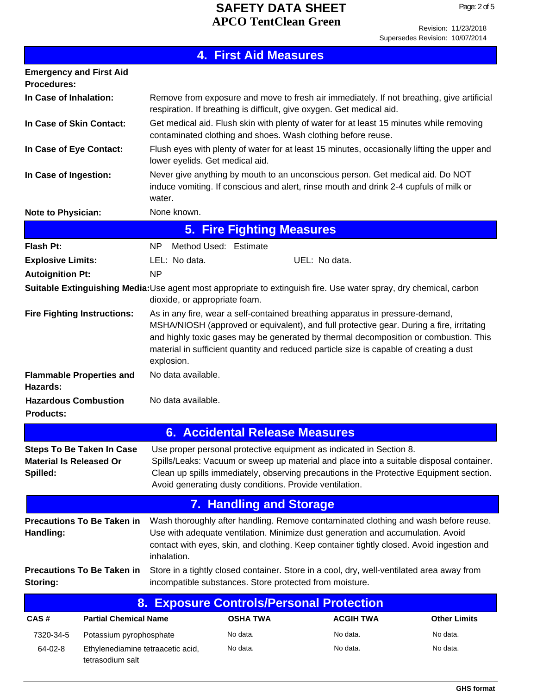Revision: 11/23/2018 Supersedes Revision: 10/07/2014

| <b>4. First Aid Measures</b>                                                   |                                   |                                                                                                                                                                                   |                                  |                                                                                                                                                                                                                                                                                                                                                              |                     |
|--------------------------------------------------------------------------------|-----------------------------------|-----------------------------------------------------------------------------------------------------------------------------------------------------------------------------------|----------------------------------|--------------------------------------------------------------------------------------------------------------------------------------------------------------------------------------------------------------------------------------------------------------------------------------------------------------------------------------------------------------|---------------------|
| <b>Emergency and First Aid</b><br><b>Procedures:</b>                           |                                   |                                                                                                                                                                                   |                                  |                                                                                                                                                                                                                                                                                                                                                              |                     |
| In Case of Inhalation:                                                         |                                   |                                                                                                                                                                                   |                                  | Remove from exposure and move to fresh air immediately. If not breathing, give artificial<br>respiration. If breathing is difficult, give oxygen. Get medical aid.                                                                                                                                                                                           |                     |
| In Case of Skin Contact:                                                       |                                   | Get medical aid. Flush skin with plenty of water for at least 15 minutes while removing<br>contaminated clothing and shoes. Wash clothing before reuse.                           |                                  |                                                                                                                                                                                                                                                                                                                                                              |                     |
| In Case of Eye Contact:                                                        |                                   | Flush eyes with plenty of water for at least 15 minutes, occasionally lifting the upper and<br>lower eyelids. Get medical aid.                                                    |                                  |                                                                                                                                                                                                                                                                                                                                                              |                     |
| In Case of Ingestion:                                                          |                                   | Never give anything by mouth to an unconscious person. Get medical aid. Do NOT<br>induce vomiting. If conscious and alert, rinse mouth and drink 2-4 cupfuls of milk or<br>water. |                                  |                                                                                                                                                                                                                                                                                                                                                              |                     |
| <b>Note to Physician:</b>                                                      |                                   | None known.                                                                                                                                                                       |                                  |                                                                                                                                                                                                                                                                                                                                                              |                     |
|                                                                                |                                   |                                                                                                                                                                                   | <b>5. Fire Fighting Measures</b> |                                                                                                                                                                                                                                                                                                                                                              |                     |
| <b>Flash Pt:</b>                                                               |                                   | Method Used: Estimate<br>NP.                                                                                                                                                      |                                  |                                                                                                                                                                                                                                                                                                                                                              |                     |
| <b>Explosive Limits:</b>                                                       |                                   | LEL: No data.                                                                                                                                                                     |                                  | UEL: No data.                                                                                                                                                                                                                                                                                                                                                |                     |
| <b>Autoignition Pt:</b>                                                        |                                   | <b>NP</b>                                                                                                                                                                         |                                  |                                                                                                                                                                                                                                                                                                                                                              |                     |
|                                                                                |                                   | dioxide, or appropriate foam.                                                                                                                                                     |                                  | Suitable Extinguishing Media:Use agent most appropriate to extinguish fire. Use water spray, dry chemical, carbon                                                                                                                                                                                                                                            |                     |
| <b>Fire Fighting Instructions:</b>                                             |                                   | explosion.                                                                                                                                                                        |                                  | As in any fire, wear a self-contained breathing apparatus in pressure-demand,<br>MSHA/NIOSH (approved or equivalent), and full protective gear. During a fire, irritating<br>and highly toxic gases may be generated by thermal decomposition or combustion. This<br>material in sufficient quantity and reduced particle size is capable of creating a dust |                     |
| <b>Flammable Properties and</b><br>Hazards:                                    |                                   | No data available.                                                                                                                                                                |                                  |                                                                                                                                                                                                                                                                                                                                                              |                     |
| <b>Hazardous Combustion</b><br><b>Products:</b>                                |                                   | No data available.                                                                                                                                                                |                                  |                                                                                                                                                                                                                                                                                                                                                              |                     |
| <b>6. Accidental Release Measures</b>                                          |                                   |                                                                                                                                                                                   |                                  |                                                                                                                                                                                                                                                                                                                                                              |                     |
| <b>Steps To Be Taken In Case</b><br><b>Material Is Released Or</b><br>Spilled: |                                   |                                                                                                                                                                                   |                                  | Use proper personal protective equipment as indicated in Section 8.<br>Spills/Leaks: Vacuum or sweep up material and place into a suitable disposal container.<br>Clean up spills immediately, observing precautions in the Protective Equipment section.<br>Avoid generating dusty conditions. Provide ventilation.                                         |                     |
|                                                                                |                                   |                                                                                                                                                                                   | <b>7. Handling and Storage</b>   |                                                                                                                                                                                                                                                                                                                                                              |                     |
| <b>Precautions To Be Taken in</b><br>Handling:                                 |                                   | inhalation.                                                                                                                                                                       |                                  | Wash thoroughly after handling. Remove contaminated clothing and wash before reuse.<br>Use with adequate ventilation. Minimize dust generation and accumulation. Avoid<br>contact with eyes, skin, and clothing. Keep container tightly closed. Avoid ingestion and                                                                                          |                     |
| Storing:                                                                       | <b>Precautions To Be Taken in</b> |                                                                                                                                                                                   |                                  | Store in a tightly closed container. Store in a cool, dry, well-ventilated area away from<br>incompatible substances. Store protected from moisture.                                                                                                                                                                                                         |                     |
| <b>Exposure Controls/Personal Protection</b><br>8.                             |                                   |                                                                                                                                                                                   |                                  |                                                                                                                                                                                                                                                                                                                                                              |                     |
| CAS#                                                                           | <b>Partial Chemical Name</b>      |                                                                                                                                                                                   | <b>OSHA TWA</b>                  | <b>ACGIH TWA</b>                                                                                                                                                                                                                                                                                                                                             | <b>Other Limits</b> |
| 7320-34-5                                                                      | Potassium pyrophosphate           |                                                                                                                                                                                   | No data.                         | No data.                                                                                                                                                                                                                                                                                                                                                     | No data.            |
| 64-02-8                                                                        | Ethylenediamine tetraacetic acid, |                                                                                                                                                                                   | No data.                         | No data.                                                                                                                                                                                                                                                                                                                                                     | No data.            |

tetrasodium salt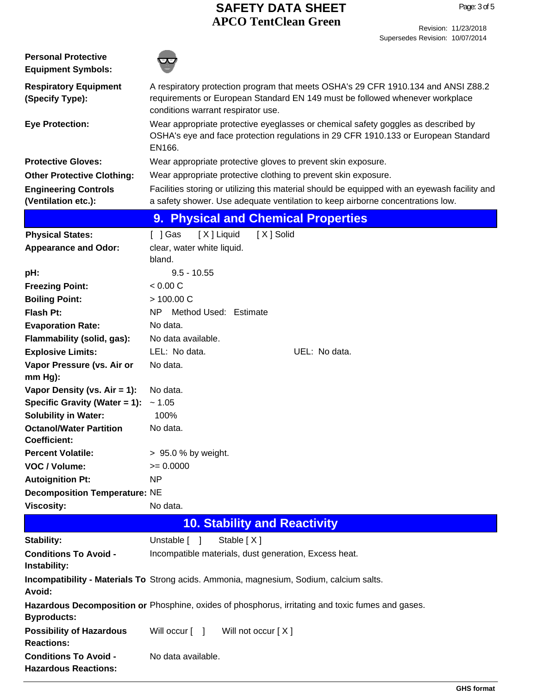| <b>Personal Protective</b><br><b>Equipment Symbols:</b>       |                                                                                                                                                                                                         |  |
|---------------------------------------------------------------|---------------------------------------------------------------------------------------------------------------------------------------------------------------------------------------------------------|--|
| <b>Respiratory Equipment</b><br>(Specify Type):               | A respiratory protection program that meets OSHA's 29 CFR 1910.134 and ANSI Z88.2<br>requirements or European Standard EN 149 must be followed whenever workplace<br>conditions warrant respirator use. |  |
| <b>Eye Protection:</b>                                        | Wear appropriate protective eyeglasses or chemical safety goggles as described by<br>OSHA's eye and face protection regulations in 29 CFR 1910.133 or European Standard<br>EN166.                       |  |
| <b>Protective Gloves:</b>                                     | Wear appropriate protective gloves to prevent skin exposure.                                                                                                                                            |  |
| <b>Other Protective Clothing:</b>                             | Wear appropriate protective clothing to prevent skin exposure.                                                                                                                                          |  |
| <b>Engineering Controls</b>                                   | Facilities storing or utilizing this material should be equipped with an eyewash facility and                                                                                                           |  |
| (Ventilation etc.):                                           | a safety shower. Use adequate ventilation to keep airborne concentrations low.                                                                                                                          |  |
|                                                               | <b>Physical and Chemical Properties</b><br>9.                                                                                                                                                           |  |
| <b>Physical States:</b>                                       | [X] Liquid<br>[X] Solid<br>[ ] Gas                                                                                                                                                                      |  |
| <b>Appearance and Odor:</b>                                   | clear, water white liquid.                                                                                                                                                                              |  |
|                                                               | bland.                                                                                                                                                                                                  |  |
| pH:                                                           | $9.5 - 10.55$                                                                                                                                                                                           |  |
| <b>Freezing Point:</b>                                        | < 0.00 C                                                                                                                                                                                                |  |
| <b>Boiling Point:</b>                                         | > 100.00 C                                                                                                                                                                                              |  |
| <b>Flash Pt:</b>                                              | <b>NP</b><br>Method Used: Estimate                                                                                                                                                                      |  |
| <b>Evaporation Rate:</b>                                      | No data.                                                                                                                                                                                                |  |
| Flammability (solid, gas):                                    | No data available.                                                                                                                                                                                      |  |
| <b>Explosive Limits:</b>                                      | LEL: No data.<br>UEL: No data.                                                                                                                                                                          |  |
| Vapor Pressure (vs. Air or                                    | No data.                                                                                                                                                                                                |  |
| $mm Hg$ ):                                                    |                                                                                                                                                                                                         |  |
| Vapor Density (vs. $Air = 1$ ):                               | No data.                                                                                                                                                                                                |  |
| Specific Gravity (Water = 1):                                 | ~1.05<br>100%                                                                                                                                                                                           |  |
| <b>Solubility in Water:</b><br><b>Octanol/Water Partition</b> | No data.                                                                                                                                                                                                |  |
| <b>Coefficient:</b>                                           |                                                                                                                                                                                                         |  |
| <b>Percent Volatile:</b>                                      | > 95.0 % by weight.                                                                                                                                                                                     |  |
| VOC / Volume:                                                 | $= 0.0000$                                                                                                                                                                                              |  |
| <b>Autoignition Pt:</b>                                       | <b>NP</b>                                                                                                                                                                                               |  |
| <b>Decomposition Temperature: NE</b>                          |                                                                                                                                                                                                         |  |
| <b>Viscosity:</b>                                             | No data.                                                                                                                                                                                                |  |
|                                                               | <b>10. Stability and Reactivity</b>                                                                                                                                                                     |  |
| Stability:                                                    | Stable [X]<br>Unstable [ ]                                                                                                                                                                              |  |
| <b>Conditions To Avoid -</b>                                  | Incompatible materials, dust generation, Excess heat.                                                                                                                                                   |  |
| Instability:                                                  |                                                                                                                                                                                                         |  |
| Avoid:                                                        | Incompatibility - Materials To Strong acids. Ammonia, magnesium, Sodium, calcium salts.                                                                                                                 |  |
| <b>Byproducts:</b>                                            | Hazardous Decomposition or Phosphine, oxides of phosphorus, irritating and toxic fumes and gases.                                                                                                       |  |
| <b>Possibility of Hazardous</b><br><b>Reactions:</b>          | Will occur [ ]<br>Will not occur [X]                                                                                                                                                                    |  |
| <b>Conditions To Avoid -</b><br><b>Hazardous Reactions:</b>   | No data available.                                                                                                                                                                                      |  |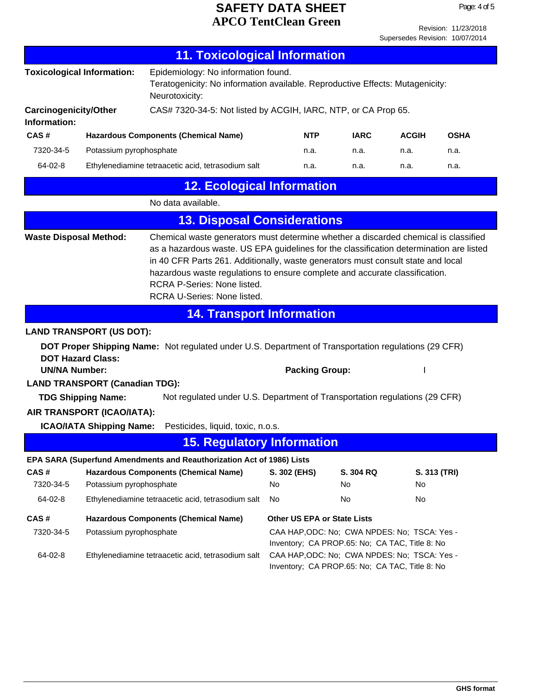Revision: 11/23/2018 Supersedes Revision: 10/07/2014

| <b>11. Toxicological Information</b>         |                                                                   |                                                                                                                                                                                                                                                                                                                                                                                                                               |                                                                                                |                                                                                                |              |              |
|----------------------------------------------|-------------------------------------------------------------------|-------------------------------------------------------------------------------------------------------------------------------------------------------------------------------------------------------------------------------------------------------------------------------------------------------------------------------------------------------------------------------------------------------------------------------|------------------------------------------------------------------------------------------------|------------------------------------------------------------------------------------------------|--------------|--------------|
|                                              | <b>Toxicological Information:</b>                                 | Epidemiology: No information found.<br>Teratogenicity: No information available. Reproductive Effects: Mutagenicity:<br>Neurotoxicity:                                                                                                                                                                                                                                                                                        |                                                                                                |                                                                                                |              |              |
| <b>Carcinogenicity/Other</b><br>Information: |                                                                   | CAS# 7320-34-5: Not listed by ACGIH, IARC, NTP, or CA Prop 65.                                                                                                                                                                                                                                                                                                                                                                |                                                                                                |                                                                                                |              |              |
| CAS#                                         |                                                                   | <b>Hazardous Components (Chemical Name)</b>                                                                                                                                                                                                                                                                                                                                                                                   | NTP                                                                                            | <b>IARC</b>                                                                                    | <b>ACGIH</b> | <b>OSHA</b>  |
| 7320-34-5                                    | Potassium pyrophosphate                                           |                                                                                                                                                                                                                                                                                                                                                                                                                               | n.a.                                                                                           | n.a.                                                                                           | n.a.         | n.a.         |
| 64-02-8                                      |                                                                   | Ethylenediamine tetraacetic acid, tetrasodium salt                                                                                                                                                                                                                                                                                                                                                                            | n.a.                                                                                           | n.a.                                                                                           | n.a.         | n.a.         |
|                                              |                                                                   | <b>12. Ecological Information</b>                                                                                                                                                                                                                                                                                                                                                                                             |                                                                                                |                                                                                                |              |              |
|                                              |                                                                   | No data available.                                                                                                                                                                                                                                                                                                                                                                                                            |                                                                                                |                                                                                                |              |              |
|                                              |                                                                   | <b>13. Disposal Considerations</b>                                                                                                                                                                                                                                                                                                                                                                                            |                                                                                                |                                                                                                |              |              |
| <b>Waste Disposal Method:</b>                |                                                                   | Chemical waste generators must determine whether a discarded chemical is classified<br>as a hazardous waste. US EPA guidelines for the classification determination are listed<br>in 40 CFR Parts 261. Additionally, waste generators must consult state and local<br>hazardous waste regulations to ensure complete and accurate classification.<br><b>RCRA P-Series: None listed.</b><br><b>RCRA U-Series: None listed.</b> |                                                                                                |                                                                                                |              |              |
|                                              |                                                                   | <b>14. Transport Information</b>                                                                                                                                                                                                                                                                                                                                                                                              |                                                                                                |                                                                                                |              |              |
|                                              | <b>LAND TRANSPORT (US DOT):</b>                                   |                                                                                                                                                                                                                                                                                                                                                                                                                               |                                                                                                |                                                                                                |              |              |
| <b>UN/NA Number:</b>                         | <b>DOT Hazard Class:</b><br><b>LAND TRANSPORT (Canadian TDG):</b> | DOT Proper Shipping Name: Not regulated under U.S. Department of Transportation regulations (29 CFR)                                                                                                                                                                                                                                                                                                                          |                                                                                                | <b>Packing Group:</b>                                                                          |              |              |
|                                              | <b>TDG Shipping Name:</b>                                         | Not regulated under U.S. Department of Transportation regulations (29 CFR)                                                                                                                                                                                                                                                                                                                                                    |                                                                                                |                                                                                                |              |              |
|                                              | AIR TRANSPORT (ICAO/IATA):                                        |                                                                                                                                                                                                                                                                                                                                                                                                                               |                                                                                                |                                                                                                |              |              |
|                                              | <b>ICAO/IATA Shipping Name:</b>                                   | Pesticides, liquid, toxic, n.o.s.                                                                                                                                                                                                                                                                                                                                                                                             |                                                                                                |                                                                                                |              |              |
|                                              |                                                                   | <b>15. Regulatory Information</b>                                                                                                                                                                                                                                                                                                                                                                                             |                                                                                                |                                                                                                |              |              |
|                                              |                                                                   | EPA SARA (Superfund Amendments and Reauthorization Act of 1986) Lists                                                                                                                                                                                                                                                                                                                                                         |                                                                                                |                                                                                                |              |              |
| CAS#<br>7320-34-5                            | Potassium pyrophosphate                                           | <b>Hazardous Components (Chemical Name)</b>                                                                                                                                                                                                                                                                                                                                                                                   | S. 302 (EHS)<br>No                                                                             | S. 304 RQ<br>No                                                                                | No.          | S. 313 (TRI) |
| 64-02-8                                      |                                                                   | Ethylenediamine tetraacetic acid, tetrasodium salt                                                                                                                                                                                                                                                                                                                                                                            | No                                                                                             | No                                                                                             | No           |              |
| CAS#                                         |                                                                   | <b>Hazardous Components (Chemical Name)</b>                                                                                                                                                                                                                                                                                                                                                                                   |                                                                                                | Other US EPA or State Lists                                                                    |              |              |
| 7320-34-5                                    | Potassium pyrophosphate                                           |                                                                                                                                                                                                                                                                                                                                                                                                                               | CAA HAP, ODC: No; CWA NPDES: No; TSCA: Yes -<br>Inventory; CA PROP.65: No; CA TAC, Title 8: No |                                                                                                |              |              |
| 64-02-8                                      |                                                                   | Ethylenediamine tetraacetic acid, tetrasodium salt                                                                                                                                                                                                                                                                                                                                                                            |                                                                                                | CAA HAP, ODC: No; CWA NPDES: No; TSCA: Yes -<br>Inventory; CA PROP.65: No; CA TAC, Title 8: No |              |              |